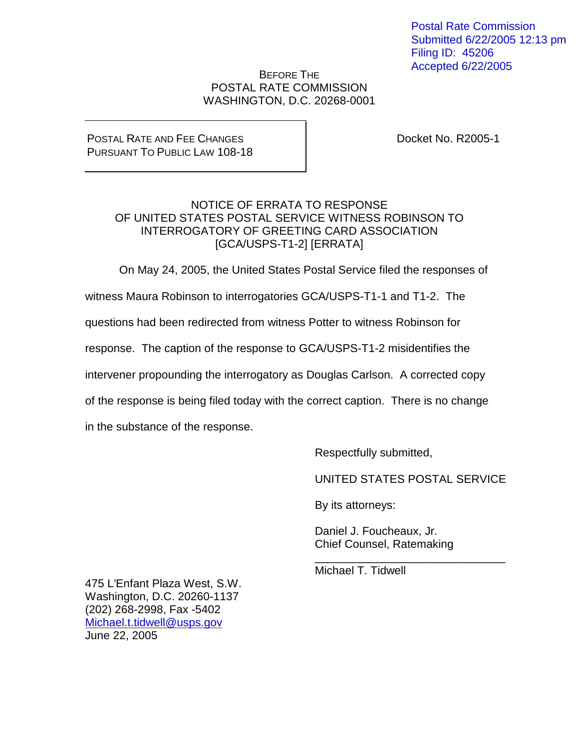Postal Rate Commission Submitted 6/22/2005 12:13 pm Filing ID: 45206 Accepted 6/22/2005

### BEFORE THE POSTAL RATE COMMISSION WASHINGTON, D.C. 20268-0001

#### POSTAL RATE AND FEE CHANGES PURSUANT TO PUBLIC LAW 108-18

Docket No. R2005-1

## NOTICE OF ERRATA TO RESPONSE OF UNITED STATES POSTAL SERVICE WITNESS ROBINSON TO INTERROGATORY OF GREETING CARD ASSOCIATION [GCA/USPS-T1-2] [ERRATA]

On May 24, 2005, the United States Postal Service filed the responses of

witness Maura Robinson to interrogatories GCA/USPS-T1-1 and T1-2. The

questions had been redirected from witness Potter to witness Robinson for

response. The caption of the response to GCA/USPS-T1-2 misidentifies the

intervener propounding the interrogatory as Douglas Carlson. A corrected copy

of the response is being filed today with the correct caption. There is no change

in the substance of the response.

Respectfully submitted,

UNITED STATES POSTAL SERVICE

\_\_\_\_\_\_\_\_\_\_\_\_\_\_\_\_\_\_\_\_\_\_\_\_\_\_\_\_\_\_

By its attorneys:

Daniel J. Foucheaux, Jr. Chief Counsel, Ratemaking

Michael T. Tidwell

475 L'Enfant Plaza West, S.W. Washington, D.C. 20260-1137 (202) 268-2998, Fax -5402 Michael.t.tidwell@usps.gov June 22, 2005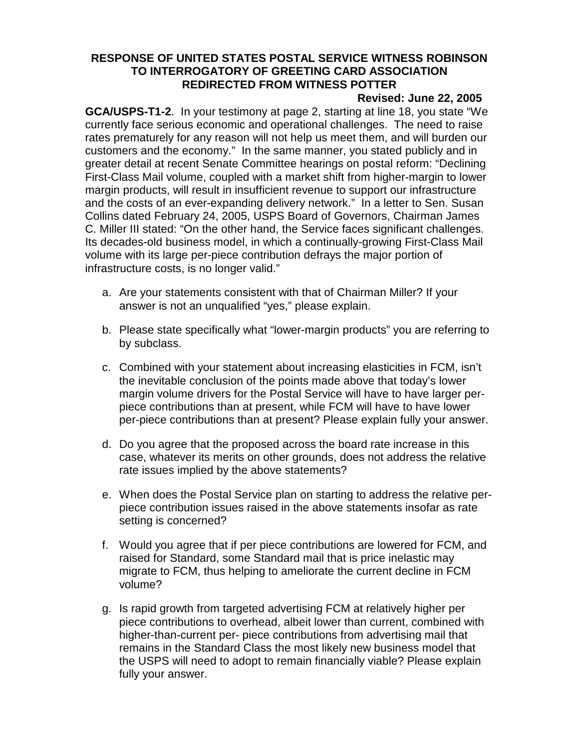# **RESPONSE OF UNITED STATES POSTAL SERVICE WITNESS ROBINSON TO INTERROGATORY OF GREETING CARD ASSOCIATION REDIRECTED FROM WITNESS POTTER**

#### **Revised: June 22, 2005**

**GCA/USPS-T1-2**. In your testimony at page 2, starting at line 18, you state "We currently face serious economic and operational challenges. The need to raise rates prematurely for any reason will not help us meet them, and will burden our customers and the economy." In the same manner, you stated publicly and in greater detail at recent Senate Committee hearings on postal reform: "Declining First-Class Mail volume, coupled with a market shift from higher-margin to lower margin products, will result in insufficient revenue to support our infrastructure and the costs of an ever-expanding delivery network." In a letter to Sen. Susan Collins dated February 24, 2005, USPS Board of Governors, Chairman James C. Miller III stated: "On the other hand, the Service faces significant challenges. Its decades-old business model, in which a continually-growing First-Class Mail volume with its large per-piece contribution defrays the major portion of infrastructure costs, is no longer valid."

- a. Are your statements consistent with that of Chairman Miller? If your answer is not an unqualified "yes," please explain.
- b. Please state specifically what "lower-margin products" you are referring to by subclass.
- c. Combined with your statement about increasing elasticities in FCM, isn't the inevitable conclusion of the points made above that today's lower margin volume drivers for the Postal Service will have to have larger perpiece contributions than at present, while FCM will have to have lower per-piece contributions than at present? Please explain fully your answer.
- d. Do you agree that the proposed across the board rate increase in this case, whatever its merits on other grounds, does not address the relative rate issues implied by the above statements?
- e. When does the Postal Service plan on starting to address the relative perpiece contribution issues raised in the above statements insofar as rate setting is concerned?
- f. Would you agree that if per piece contributions are lowered for FCM, and raised for Standard, some Standard mail that is price inelastic may migrate to FCM, thus helping to ameliorate the current decline in FCM volume?
- g. Is rapid growth from targeted advertising FCM at relatively higher per piece contributions to overhead, albeit lower than current, combined with higher-than-current per- piece contributions from advertising mail that remains in the Standard Class the most likely new business model that the USPS will need to adopt to remain financially viable? Please explain fully your answer.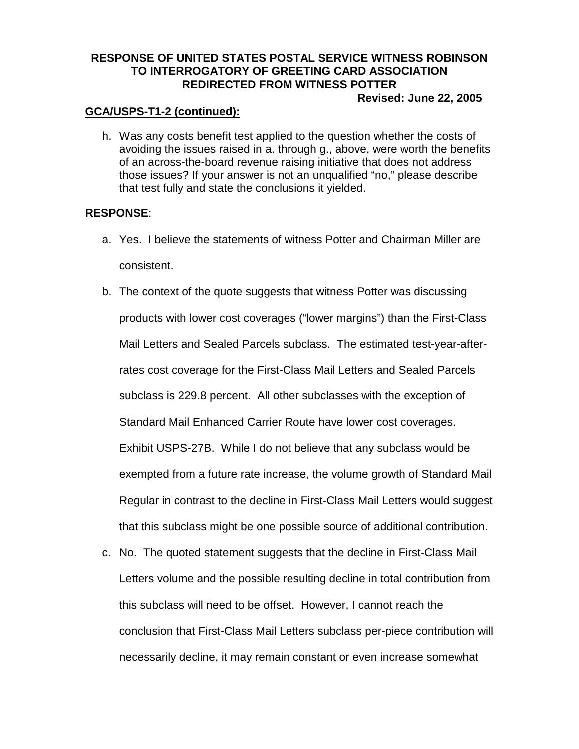# **RESPONSE OF UNITED STATES POSTAL SERVICE WITNESS ROBINSON TO INTERROGATORY OF GREETING CARD ASSOCIATION REDIRECTED FROM WITNESS POTTER**

#### **Revised: June 22, 2005**

## **GCA/USPS-T1-2 (continued):**

h. Was any costs benefit test applied to the question whether the costs of avoiding the issues raised in a. through g., above, were worth the benefits of an across-the-board revenue raising initiative that does not address those issues? If your answer is not an unqualified "no," please describe that test fully and state the conclusions it yielded.

#### **RESPONSE**:

- a. Yes. I believe the statements of witness Potter and Chairman Miller are consistent.
- b. The context of the quote suggests that witness Potter was discussing products with lower cost coverages ("lower margins") than the First-Class Mail Letters and Sealed Parcels subclass. The estimated test-year-afterrates cost coverage for the First-Class Mail Letters and Sealed Parcels subclass is 229.8 percent. All other subclasses with the exception of Standard Mail Enhanced Carrier Route have lower cost coverages. Exhibit USPS-27B. While I do not believe that any subclass would be exempted from a future rate increase, the volume growth of Standard Mail Regular in contrast to the decline in First-Class Mail Letters would suggest that this subclass might be one possible source of additional contribution.
- c. No. The quoted statement suggests that the decline in First-Class Mail Letters volume and the possible resulting decline in total contribution from this subclass will need to be offset. However, I cannot reach the conclusion that First-Class Mail Letters subclass per-piece contribution will necessarily decline, it may remain constant or even increase somewhat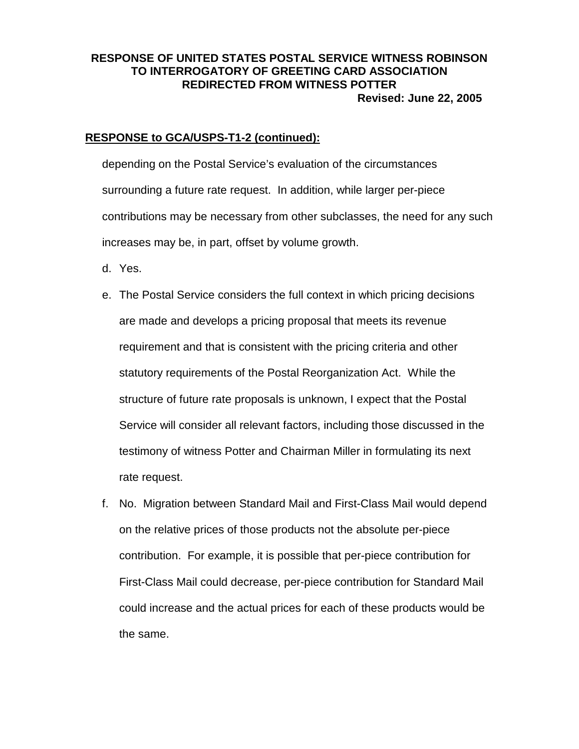## **RESPONSE OF UNITED STATES POSTAL SERVICE WITNESS ROBINSON TO INTERROGATORY OF GREETING CARD ASSOCIATION REDIRECTED FROM WITNESS POTTER Revised: June 22, 2005**

#### **RESPONSE to GCA/USPS-T1-2 (continued):**

depending on the Postal Service's evaluation of the circumstances surrounding a future rate request. In addition, while larger per-piece contributions may be necessary from other subclasses, the need for any such increases may be, in part, offset by volume growth.

- d. Yes.
- e. The Postal Service considers the full context in which pricing decisions are made and develops a pricing proposal that meets its revenue requirement and that is consistent with the pricing criteria and other statutory requirements of the Postal Reorganization Act. While the structure of future rate proposals is unknown, I expect that the Postal Service will consider all relevant factors, including those discussed in the testimony of witness Potter and Chairman Miller in formulating its next rate request.
- f. No. Migration between Standard Mail and First-Class Mail would depend on the relative prices of those products not the absolute per-piece contribution. For example, it is possible that per-piece contribution for First-Class Mail could decrease, per-piece contribution for Standard Mail could increase and the actual prices for each of these products would be the same.